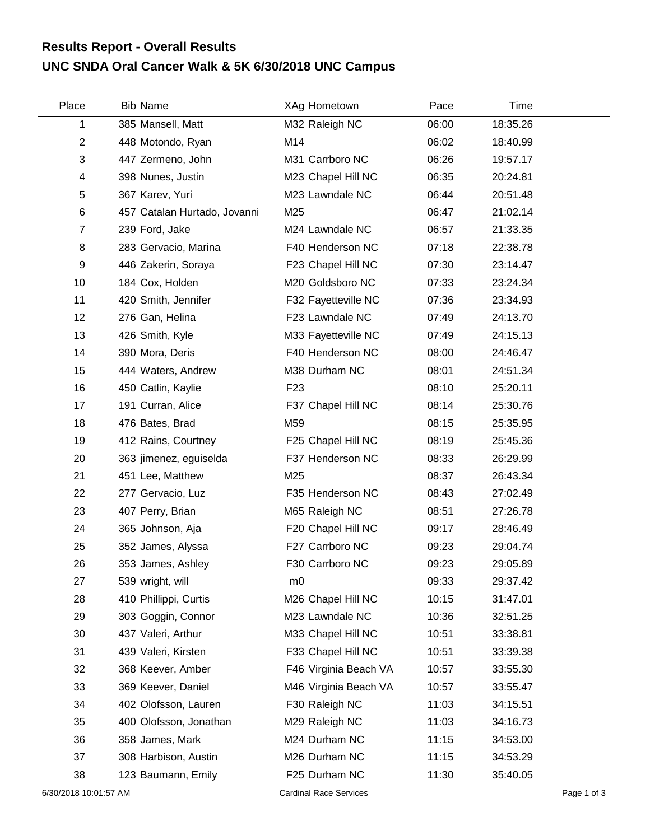## **UNC SNDA Oral Cancer Walk & 5K 6/30/2018 UNC Campus Results Report - Overall Results**

| Place          | <b>Bib Name</b>              | XAg Hometown          | Pace  | Time     |  |
|----------------|------------------------------|-----------------------|-------|----------|--|
| 1              | 385 Mansell, Matt            | M32 Raleigh NC        | 06:00 | 18:35.26 |  |
| $\overline{2}$ | 448 Motondo, Ryan            | M14                   | 06:02 | 18:40.99 |  |
| 3              | 447 Zermeno, John            | M31 Carrboro NC       | 06:26 | 19:57.17 |  |
| 4              | 398 Nunes, Justin            | M23 Chapel Hill NC    | 06:35 | 20:24.81 |  |
| 5              | 367 Karev, Yuri              | M23 Lawndale NC       | 06:44 | 20:51.48 |  |
| $\,6$          | 457 Catalan Hurtado, Jovanni | M25                   | 06:47 | 21:02.14 |  |
| $\overline{7}$ | 239 Ford, Jake               | M24 Lawndale NC       | 06:57 | 21:33.35 |  |
| 8              | 283 Gervacio, Marina         | F40 Henderson NC      | 07:18 | 22:38.78 |  |
| 9              | 446 Zakerin, Soraya          | F23 Chapel Hill NC    | 07:30 | 23:14.47 |  |
| 10             | 184 Cox, Holden              | M20 Goldsboro NC      | 07:33 | 23:24.34 |  |
| 11             | 420 Smith, Jennifer          | F32 Fayetteville NC   | 07:36 | 23:34.93 |  |
| 12             | 276 Gan, Helina              | F23 Lawndale NC       | 07:49 | 24:13.70 |  |
| 13             | 426 Smith, Kyle              | M33 Fayetteville NC   | 07:49 | 24:15.13 |  |
| 14             | 390 Mora, Deris              | F40 Henderson NC      | 08:00 | 24:46.47 |  |
| 15             | 444 Waters, Andrew           | M38 Durham NC         | 08:01 | 24:51.34 |  |
| 16             | 450 Catlin, Kaylie           | F <sub>23</sub>       | 08:10 | 25:20.11 |  |
| 17             | 191 Curran, Alice            | F37 Chapel Hill NC    | 08:14 | 25:30.76 |  |
| 18             | 476 Bates, Brad              | M59                   | 08:15 | 25:35.95 |  |
| 19             | 412 Rains, Courtney          | F25 Chapel Hill NC    | 08:19 | 25:45.36 |  |
| 20             | 363 jimenez, eguiselda       | F37 Henderson NC      | 08:33 | 26:29.99 |  |
| 21             | 451 Lee, Matthew             | M25                   | 08:37 | 26:43.34 |  |
| 22             | 277 Gervacio, Luz            | F35 Henderson NC      | 08:43 | 27:02.49 |  |
| 23             | 407 Perry, Brian             | M65 Raleigh NC        | 08:51 | 27:26.78 |  |
| 24             | 365 Johnson, Aja             | F20 Chapel Hill NC    | 09:17 | 28:46.49 |  |
| 25             | 352 James, Alyssa            | F27 Carrboro NC       | 09:23 | 29:04.74 |  |
| 26             | 353 James, Ashley            | F30 Carrboro NC       | 09:23 | 29:05.89 |  |
| 27             | 539 wright, will             | m0                    | 09:33 | 29:37.42 |  |
| 28             | 410 Phillippi, Curtis        | M26 Chapel Hill NC    | 10:15 | 31:47.01 |  |
| 29             | 303 Goggin, Connor           | M23 Lawndale NC       | 10:36 | 32:51.25 |  |
| 30             | 437 Valeri, Arthur           | M33 Chapel Hill NC    | 10:51 | 33:38.81 |  |
| 31             | 439 Valeri, Kirsten          | F33 Chapel Hill NC    | 10:51 | 33:39.38 |  |
| 32             | 368 Keever, Amber            | F46 Virginia Beach VA | 10:57 | 33:55.30 |  |
| 33             | 369 Keever, Daniel           | M46 Virginia Beach VA | 10:57 | 33:55.47 |  |
| 34             | 402 Olofsson, Lauren         | F30 Raleigh NC        | 11:03 | 34:15.51 |  |
| 35             | 400 Olofsson, Jonathan       | M29 Raleigh NC        | 11:03 | 34:16.73 |  |
| 36             | 358 James, Mark              | M24 Durham NC         | 11:15 | 34:53.00 |  |
| 37             | 308 Harbison, Austin         | M26 Durham NC         | 11:15 | 34:53.29 |  |
| 38             | 123 Baumann, Emily           | F25 Durham NC         | 11:30 | 35:40.05 |  |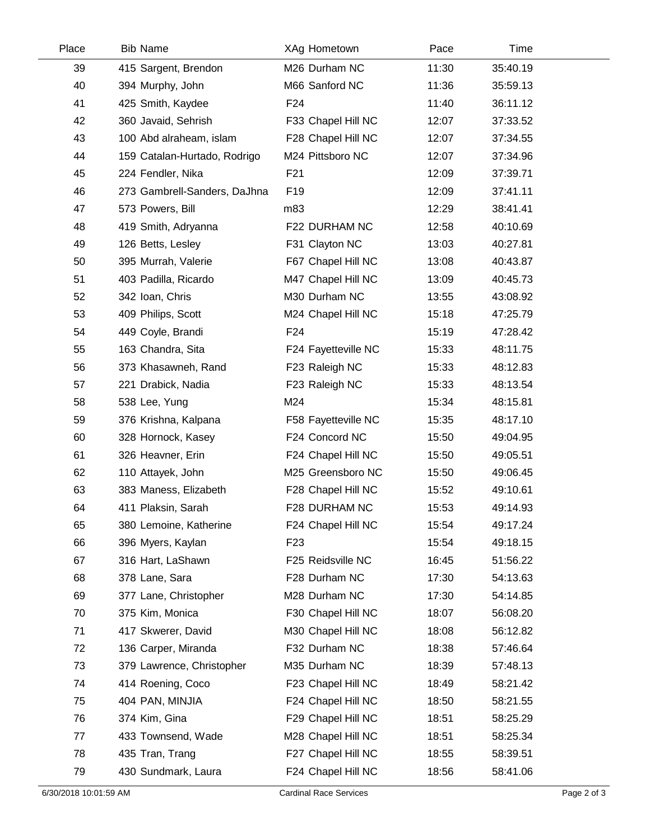| Place | <b>Bib Name</b>              | XAg Hometown        | Pace  | Time     |  |
|-------|------------------------------|---------------------|-------|----------|--|
| 39    | 415 Sargent, Brendon         | M26 Durham NC       | 11:30 | 35:40.19 |  |
| 40    | 394 Murphy, John             | M66 Sanford NC      | 11:36 | 35:59.13 |  |
| 41    | 425 Smith, Kaydee            | F <sub>24</sub>     | 11:40 | 36:11.12 |  |
| 42    | 360 Javaid, Sehrish          | F33 Chapel Hill NC  | 12:07 | 37:33.52 |  |
| 43    | 100 Abd alraheam, islam      | F28 Chapel Hill NC  | 12:07 | 37:34.55 |  |
| 44    | 159 Catalan-Hurtado, Rodrigo | M24 Pittsboro NC    | 12:07 | 37:34.96 |  |
| 45    | 224 Fendler, Nika            | F21                 | 12:09 | 37:39.71 |  |
| 46    | 273 Gambrell-Sanders, DaJhna | F <sub>19</sub>     | 12:09 | 37:41.11 |  |
| 47    | 573 Powers, Bill             | m83                 | 12:29 | 38:41.41 |  |
| 48    | 419 Smith, Adryanna          | F22 DURHAM NC       | 12:58 | 40:10.69 |  |
| 49    | 126 Betts, Lesley            | F31 Clayton NC      | 13:03 | 40:27.81 |  |
| 50    | 395 Murrah, Valerie          | F67 Chapel Hill NC  | 13:08 | 40:43.87 |  |
| 51    | 403 Padilla, Ricardo         | M47 Chapel Hill NC  | 13:09 | 40:45.73 |  |
| 52    | 342 Ioan, Chris              | M30 Durham NC       | 13:55 | 43:08.92 |  |
| 53    | 409 Philips, Scott           | M24 Chapel Hill NC  | 15:18 | 47:25.79 |  |
| 54    | 449 Coyle, Brandi            | F24                 | 15:19 | 47:28.42 |  |
| 55    | 163 Chandra, Sita            | F24 Fayetteville NC | 15:33 | 48:11.75 |  |
| 56    | 373 Khasawneh, Rand          | F23 Raleigh NC      | 15:33 | 48:12.83 |  |
| 57    | 221 Drabick, Nadia           | F23 Raleigh NC      | 15:33 | 48:13.54 |  |
| 58    | 538 Lee, Yung                | M24                 | 15:34 | 48:15.81 |  |
| 59    | 376 Krishna, Kalpana         | F58 Fayetteville NC | 15:35 | 48:17.10 |  |
| 60    | 328 Hornock, Kasey           | F24 Concord NC      | 15:50 | 49:04.95 |  |
| 61    | 326 Heavner, Erin            | F24 Chapel Hill NC  | 15:50 | 49:05.51 |  |
| 62    | 110 Attayek, John            | M25 Greensboro NC   | 15:50 | 49:06.45 |  |
| 63    | 383 Maness, Elizabeth        | F28 Chapel Hill NC  | 15:52 | 49:10.61 |  |
| 64    | 411 Plaksin, Sarah           | F28 DURHAM NC       | 15:53 | 49:14.93 |  |
| 65    | 380 Lemoine, Katherine       | F24 Chapel Hill NC  | 15:54 | 49:17.24 |  |
| 66    | 396 Myers, Kaylan            | F <sub>23</sub>     | 15:54 | 49:18.15 |  |
| 67    | 316 Hart, LaShawn            | F25 Reidsville NC   | 16:45 | 51:56.22 |  |
| 68    | 378 Lane, Sara               | F28 Durham NC       | 17:30 | 54:13.63 |  |
| 69    | 377 Lane, Christopher        | M28 Durham NC       | 17:30 | 54:14.85 |  |
| 70    | 375 Kim, Monica              | F30 Chapel Hill NC  | 18:07 | 56:08.20 |  |
| 71    | 417 Skwerer, David           | M30 Chapel Hill NC  | 18:08 | 56:12.82 |  |
| 72    | 136 Carper, Miranda          | F32 Durham NC       | 18:38 | 57:46.64 |  |
| 73    | 379 Lawrence, Christopher    | M35 Durham NC       | 18:39 | 57:48.13 |  |
| 74    | 414 Roening, Coco            | F23 Chapel Hill NC  | 18:49 | 58:21.42 |  |
| 75    | 404 PAN, MINJIA              | F24 Chapel Hill NC  | 18:50 | 58:21.55 |  |
| 76    | 374 Kim, Gina                | F29 Chapel Hill NC  | 18:51 | 58:25.29 |  |
| 77    | 433 Townsend, Wade           | M28 Chapel Hill NC  | 18:51 | 58:25.34 |  |
| 78    | 435 Tran, Trang              | F27 Chapel Hill NC  | 18:55 | 58:39.51 |  |
| 79    | 430 Sundmark, Laura          | F24 Chapel Hill NC  | 18:56 | 58:41.06 |  |
|       |                              |                     |       |          |  |